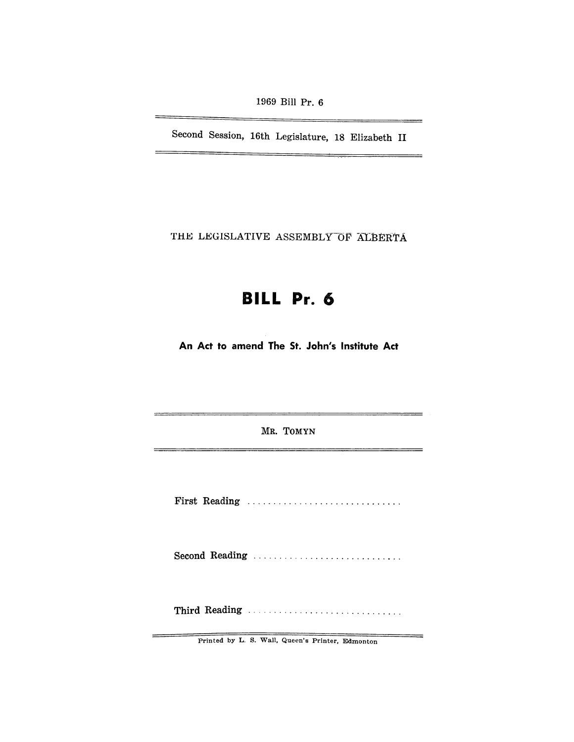1969 Bill Pr. 6

Second Session, 16th Legislature, 18 Elizabeth II

---

\_\_\_\_

THE LEGISLATIVE ASSEMBLY OF ALBERTA

# **BILL Pr. 6**

An Act to amend The St. John's Institute Act

MR. TOMYN

First Reading ................................

Second Reading ...............................

Third Reading ............................. .

Printed by L. S. Wall. Queen's Printer, Edmonton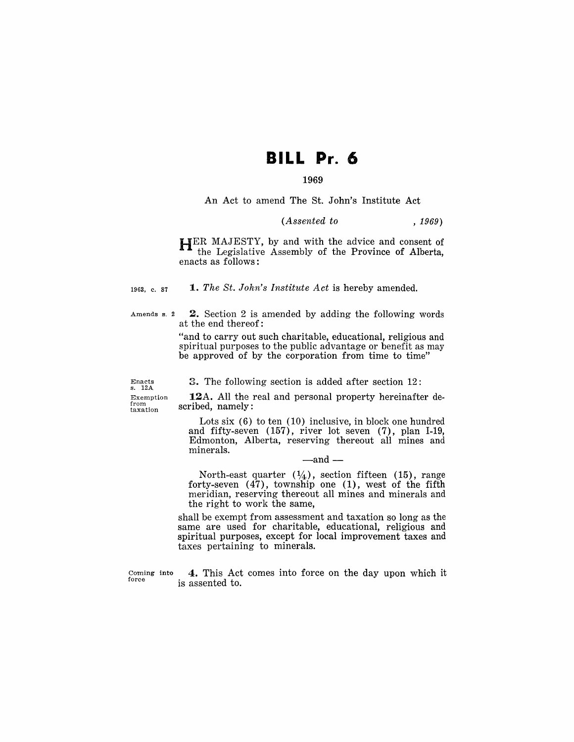# **BILL Pr. 6**

## 1969

An Act to amend The St. John's Institute Act

### *(Assented to* , 1969)

HER MAJESTY, by and with the advice and consent of the Legislative Assembly of the Province of Alberta, enacts as follows:

1963, c. 87 1. *The St. John's Institute Act* is hereby amended.

Amends s. 2  $2.$  Section 2 is amended by adding the following words at the end thereof:

> "and to carry out such charitable, educational, religious and spiritual purposes to the public advantage or benefit as may be approved of by the corporation from time to time"

3. The following section is added after section 12:

Enacts s. 12A Exemption from taxation

12A. All the real and personal property hereinafter described, namely:

Lots six (6) to ten (10) inclusive, in block one hundred and fifty-seven (157), river lot seven (7), plan 1-19, Edmonton, Alberta, reserving thereout all mines and minerals.

 $-$ and $-$ 

North-east quarter  $(1/4)$ , section fifteen (15), range forty-seven (47), township one (1), west of the fifth meridian, reserving thereout all mines and minerals and the right to work the same,

shall be exempt from assessment and taxation so long as the same are used for charitable, educational, religious and spiritual purposes, except for local improvement taxes and taxes pertaining to minerals.

Coming into force

4. This Act comes into force on the day upon which it is assented to.